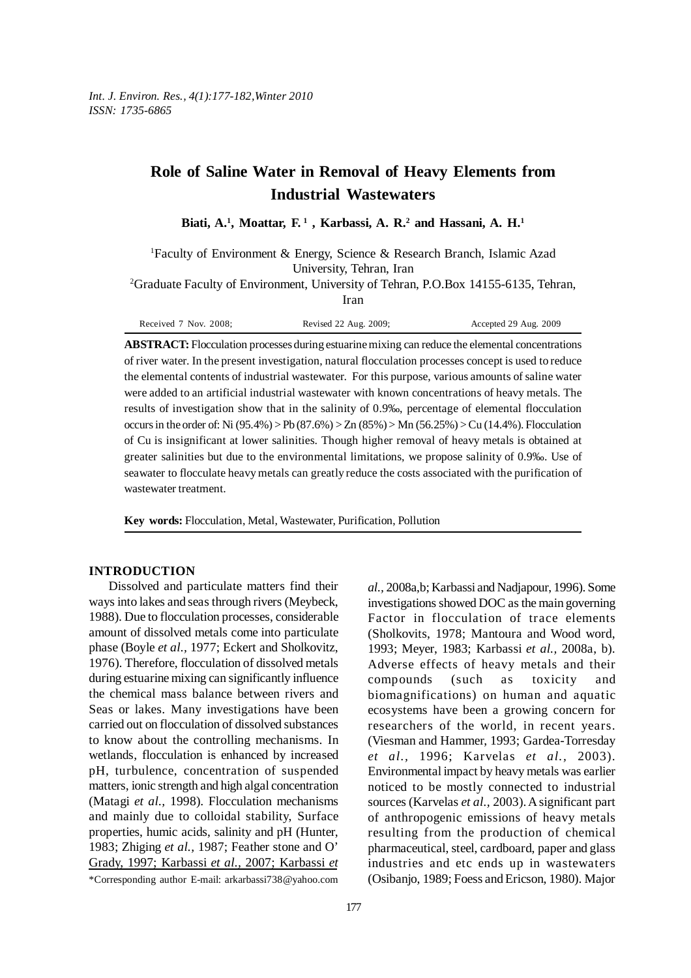# **Role of Saline Water in Removal of Heavy Elements from Industrial Wastewaters**

Biati, A.<sup>1</sup>, Moattar, F.<sup>1</sup>, Karbassi, A. R.<sup>2</sup> and Hassani, A. H.<sup>1</sup>

1 Faculty of Environment & Energy, Science & Research Branch, Islamic Azad University, Tehran, Iran

2 Graduate Faculty of Environment, University of Tehran, P.O.Box 14155-6135, Tehran,

Iran

Received 7 Nov. 2008; Revised 22 Aug. 2009; Accepted 29 Aug. 2009

**ABSTRACT:** Flocculation processes during estuarine mixing can reduce the elemental concentrations of river water. In the present investigation, natural flocculation processes concept is used to reduce the elemental contents of industrial wastewater. For this purpose, various amounts of saline water were added to an artificial industrial wastewater with known concentrations of heavy metals. The results of investigation show that in the salinity of 0.9‰, percentage of elemental flocculation occurs in the order of: Ni (95.4%) > Pb (87.6%) > Zn (85%) > Mn (56.25%) > Cu (14.4%). Flocculation of Cu is insignificant at lower salinities. Though higher removal of heavy metals is obtained at greater salinities but due to the environmental limitations, we propose salinity of 0.9‰. Use of seawater to flocculate heavy metals can greatly reduce the costs associated with the purification of wastewater treatment.

**Key words:** Flocculation, Metal, Wastewater, Purification, Pollution

# **INTRODUCTION**

Dissolved and particulate matters find their ways into lakes and seas through rivers (Meybeck, 1988). Due to flocculation processes, considerable amount of dissolved metals come into particulate phase (Boyle *et al.,* 1977; Eckert and Sholkovitz, 1976). Therefore, flocculation of dissolved metals during estuarine mixing can significantly influence the chemical mass balance between rivers and Seas or lakes. Many investigations have been carried out on flocculation of dissolved substances to know about the controlling mechanisms. In wetlands, flocculation is enhanced by increased pH, turbulence, concentration of suspended matters, ionic strength and high algal concentration (Matagi *et al.,* 1998). Flocculation mechanisms and mainly due to colloidal stability, Surface properties, humic acids, salinity and pH (Hunter, 1983; Zhiging *et al.,* 1987; Feather stone and O' Grady, 1997; Karbassi *et al.,* 2007; Karbassi *et* *al.,* 2008a,b; Karbassi and Nadjapour, 1996). Some investigations showed DOC as the main governing Factor in flocculation of trace elements (Sholkovits, 1978; Mantoura and Wood word, 1993; Meyer, 1983; Karbassi *et al.,* 2008a, b). Adverse effects of heavy metals and their compounds (such as toxicity and biomagnifications) on human and aquatic ecosystems have been a growing concern for researchers of the world, in recent years. (Viesman and Hammer, 1993; Gardea-Torresday *et al.,* 1996; Karvelas *et al.,* 2003). Environmental impact by heavy metals was earlier noticed to be mostly connected to industrial sources (Karvelas *et al.,* 2003). A significant part of anthropogenic emissions of heavy metals resulting from the production of chemical pharmaceutical, steel, cardboard, paper and glass industries and etc ends up in wastewaters (Osibanjo, 1989; Foess and Ericson, 1980). Major

<sup>\*</sup>Corresponding author E-mail: arkarbassi738@yahoo.com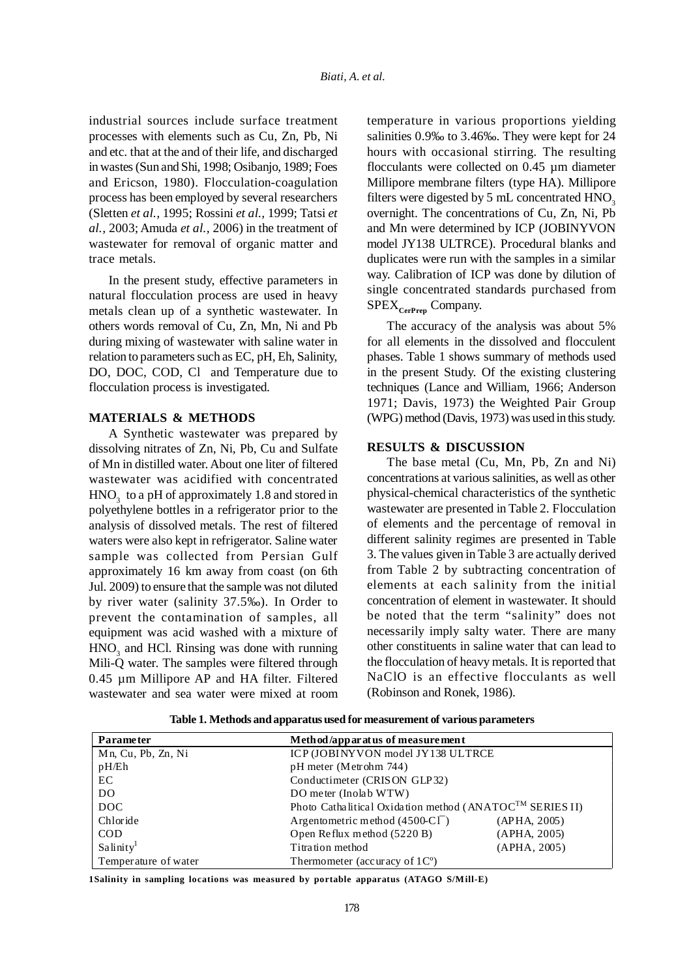industrial sources include surface treatment processes with elements such as Cu, Zn, Pb, Ni and etc. that at the and of their life, and discharged in wastes (Sun and Shi, 1998; Osibanjo, 1989; Foes and Ericson, 1980). Flocculation-coagulation process has been employed by several researchers (Sletten *et al.,* 1995; Rossini *et al.,* 1999; Tatsi *et al.,* 2003; Amuda *et al.,* 2006) in the treatment of wastewater for removal of organic matter and trace metals.

In the present study, effective parameters in natural flocculation process are used in heavy metals clean up of a synthetic wastewater. In others words removal of Cu, Zn, Mn, Ni and Pb during mixing of wastewater with saline water in relation to parameters such as EC, pH, Eh, Salinity, DO, DOC, COD, Cl and Temperature due to flocculation process is investigated.

# **MATERIALS & METHODS**

A Synthetic wastewater was prepared by dissolving nitrates of Zn, Ni, Pb, Cu and Sulfate of Mn in distilled water. About one liter of filtered wastewater was acidified with concentrated  $\mathrm{HNO}_3^{\phantom{\dag}}$  to a pH of approximately 1.8 and stored in polyethylene bottles in a refrigerator prior to the analysis of dissolved metals. The rest of filtered waters were also kept in refrigerator. Saline water sample was collected from Persian Gulf approximately 16 km away from coast (on 6th Jul. 2009) to ensure that the sample was not diluted by river water (salinity 37.5‰). In Order to prevent the contamination of samples, all equipment was acid washed with a mixture of  $HNO<sub>3</sub>$  and HCl. Rinsing was done with running Mili-Q water. The samples were filtered through 0.45 µm Millipore AP and HA filter. Filtered wastewater and sea water were mixed at room

temperature in various proportions yielding salinities 0.9‰ to 3.46‰. They were kept for 24 hours with occasional stirring. The resulting flocculants were collected on 0.45 µm diameter Millipore membrane filters (type HA). Millipore filters were digested by  $5 \text{ mL}$  concentrated  $HNO<sub>3</sub>$ overnight. The concentrations of Cu, Zn, Ni, Pb and Mn were determined by ICP (JOBINYVON model JY138 ULTRCE). Procedural blanks and duplicates were run with the samples in a similar way. Calibration of ICP was done by dilution of single concentrated standards purchased from SPEX<sub>CerPren</sub> Company.

The accuracy of the analysis was about 5% for all elements in the dissolved and flocculent phases. Table 1 shows summary of methods used in the present Study. Of the existing clustering techniques (Lance and William, 1966; Anderson 1971; Davis, 1973) the Weighted Pair Group (WPG) method (Davis, 1973) was used in this study.

# **RESULTS & DISCUSSION**

The base metal (Cu, Mn, Pb, Zn and Ni) concentrations at various salinities, as well as other physical-chemical characteristics of the synthetic wastewater are presented in Table 2. Flocculation of elements and the percentage of removal in different salinity regimes are presented in Table 3. The values given in Table 3 are actually derived from Table 2 by subtracting concentration of elements at each salinity from the initial concentration of element in wastewater. It should be noted that the term "salinity" does not necessarily imply salty water. There are many other constituents in saline water that can lead to the flocculation of heavy metals. It is reported that NaClO is an effective flocculants as well (Robinson and Ronek, 1986).

| <b>Parameter</b>     | Method/apparatus of measurement                                      |  |
|----------------------|----------------------------------------------------------------------|--|
| Mn, Cu, Pb, Zn, Ni   | ICP (JOBINY VON model JY138 ULTRCE                                   |  |
| pH/Eh                | pH meter (Metrohm 744)                                               |  |
| EC                   | Conductimeter (CRISON GLP32)                                         |  |
| DO.                  | DO meter (Inolab WTW)                                                |  |
| DOC                  | Photo Cathalitical Oxidation method (ANATOC <sup>TM</sup> SERIES II) |  |
| Chloride             | Argentometric method (4500-CI <sup>-</sup> )<br>(APHA, 2005)         |  |
| <b>COD</b>           | Open Reflux method (5220 B)<br>(APHA, 2005)                          |  |
| Salinity             | Titration method<br>(APHA, 2005)                                     |  |
| Temperature of water | Thermometer (accuracy of $1^{\circ}$ )                               |  |

**Table 1. Methods and apparatus used for measurement of various parameters**

**1Salinity in sampling locations was measured by portable apparatus (ATAGO S/Mill-E)**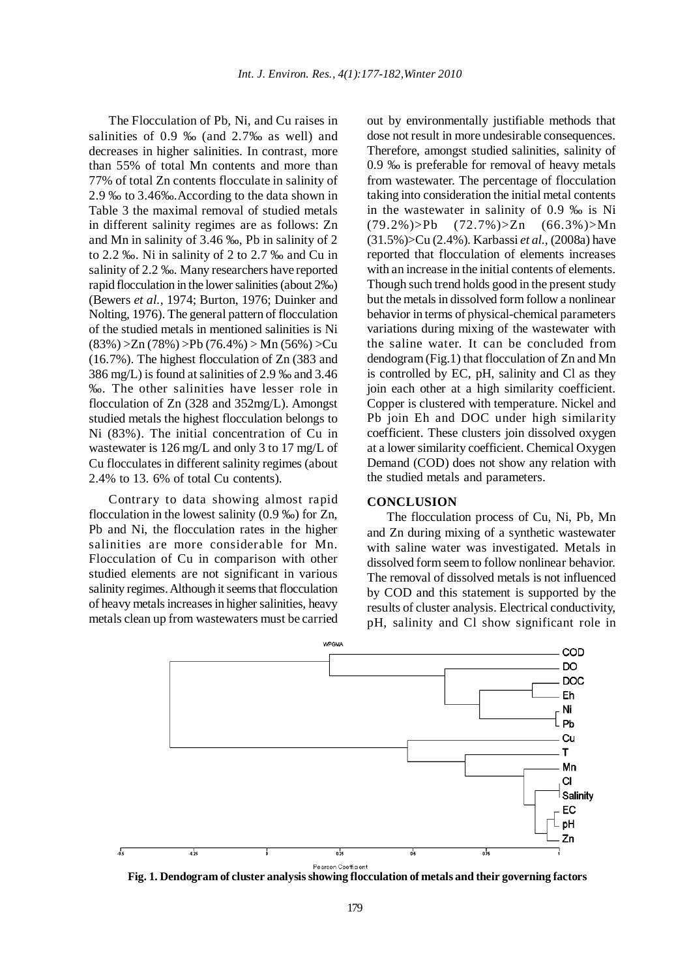The Flocculation of Pb, Ni, and Cu raises in salinities of 0.9 ‰ (and 2.7‰ as well) and decreases in higher salinities. In contrast, more than 55% of total Mn contents and more than 77% of total Zn contents flocculate in salinity of 2.9 ‰ to 3.46‰.According to the data shown in Table 3 the maximal removal of studied metals in different salinity regimes are as follows: Zn and Mn in salinity of 3.46 ‰, Pb in salinity of 2 to 2.2 ‰. Ni in salinity of 2 to 2.7 ‰ and Cu in salinity of 2.2 ‰. Many researchers have reported rapid flocculation in the lower salinities (about 2‰) (Bewers *et al.,* 1974; Burton, 1976; Duinker and Nolting, 1976). The general pattern of flocculation of the studied metals in mentioned salinities is Ni  $(83\%) > Zn (78\%) > Pb (76.4\%) > Mn (56\%) > Cu$ (16.7%). The highest flocculation of Zn (383 and 386 mg/L) is found at salinities of 2.9 ‰ and 3.46 ‰. The other salinities have lesser role in flocculation of Zn (328 and 352mg/L). Amongst studied metals the highest flocculation belongs to Ni (83%). The initial concentration of Cu in wastewater is 126 mg/L and only 3 to 17 mg/L of Cu flocculates in different salinity regimes (about 2.4% to 13. 6% of total Cu contents).

Contrary to data showing almost rapid flocculation in the lowest salinity (0.9 ‰) for Zn, Pb and Ni, the flocculation rates in the higher salinities are more considerable for Mn. Flocculation of Cu in comparison with other studied elements are not significant in various salinity regimes. Although it seems that flocculation of heavy metals increases in higher salinities, heavy metals clean up from wastewaters must be carried out by environmentally justifiable methods that dose not result in more undesirable consequences. Therefore, amongst studied salinities, salinity of 0.9 ‰ is preferable for removal of heavy metals from wastewater. The percentage of flocculation taking into consideration the initial metal contents in the wastewater in salinity of 0.9 ‰ is Ni  $(79.2\%)$ >Pb  $(72.7\%)$ >Zn  $(66.3\%)$ >Mn (31.5%)>Cu (2.4%). Karbassi *et al.,* (2008a) have reported that flocculation of elements increases with an increase in the initial contents of elements. Though such trend holds good in the present study but the metals in dissolved form follow a nonlinear behavior in terms of physical-chemical parameters variations during mixing of the wastewater with the saline water. It can be concluded from dendogram (Fig.1) that flocculation of Zn and Mn is controlled by EC, pH, salinity and Cl as they join each other at a high similarity coefficient. Copper is clustered with temperature. Nickel and Pb join Eh and DOC under high similarity coefficient. These clusters join dissolved oxygen at a lower similarity coefficient. Chemical Oxygen Demand (COD) does not show any relation with the studied metals and parameters.

# **CONCLUSION**

The flocculation process of Cu, Ni, Pb, Mn and Zn during mixing of a synthetic wastewater with saline water was investigated. Metals in dissolved form seem to follow nonlinear behavior. The removal of dissolved metals is not influenced by COD and this statement is supported by the results of cluster analysis. Electrical conductivity, pH, salinity and Cl show significant role in

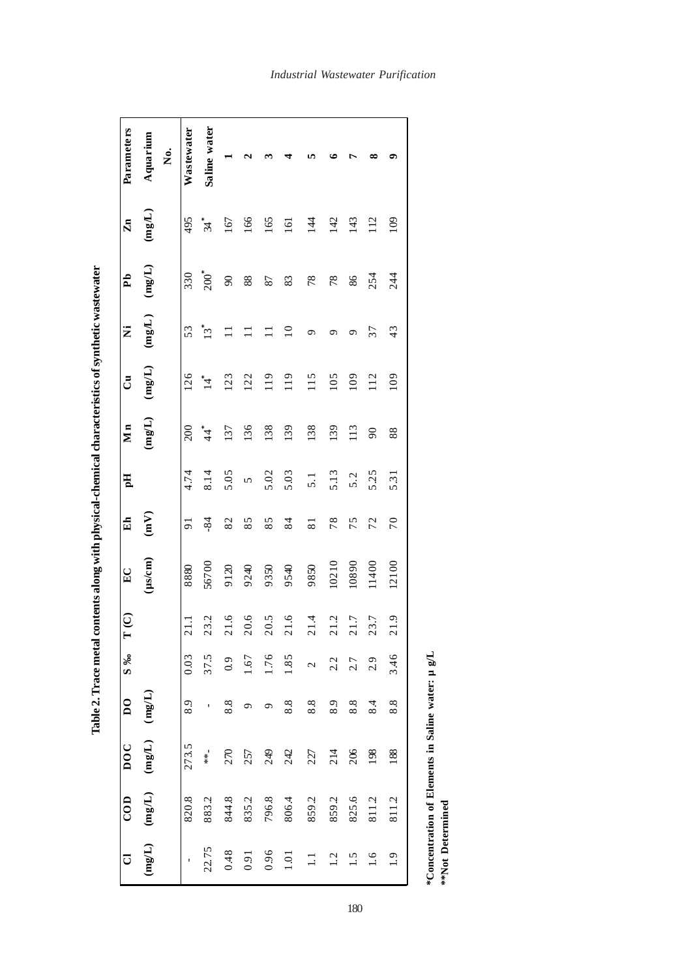| Parameters     | Aquarium                          | .<br>Ž | Wastewater     | Saline water      |          | N       |       |                  | n                 |       |       | ∞        | ۰     |
|----------------|-----------------------------------|--------|----------------|-------------------|----------|---------|-------|------------------|-------------------|-------|-------|----------|-------|
| $\mathbf{Zn}$  | (mg/L)                            |        | 495            | *<br>پلا          | 167      | 166     | 165   | $\overline{161}$ | $\overline{14}$   | 142   | 143   | 112      | 109   |
| Pb             | (mg/L)                            |        | 330            | $200^*$           | $\infty$ | 88      | 87    | 83               | 78                | 78    | 86    | 254      | 244   |
| Ż              | (mg/L)                            |        | 53             | $13*$             | $\Box$   | $\Box$  |       | $\Xi$            | ഗ                 | ూ     | ᡡ     | 37       | 43    |
| ්              | (mg/L)                            |        | 126            | $\vec{A}$         | 123      | 122     | 119   | 119              | 115               | 105   | 109   | 112      | 109   |
| Mn             | (mgL)                             |        | 200            | $44$ <sup>*</sup> | 137      | 136     | 138   | 139              | 138               | 139   | 113   | $\infty$ | 88    |
| Eq             |                                   |        | 4.74           | 8.14              | 5.05     | 5       | 5.02  | 5.03             | $\overline{5}.1$  | 5.13  | 5.2   | 5.25     | 5.31  |
| E <sub>h</sub> | $\binom{N}{m}$                    |        | $\overline{5}$ | $-84$             | 82       | 85      | 85    | 84               | $\overline{8}$    | 78    | 75    | 72       | 70    |
| $E_{\rm C}$    | $(\mu s/cm)$                      |        | 8880           | 56700             | 9120     | 9240    | 9350  | 9540             | 9850              | 10210 | 10890 | 11400    | 12100 |
| T(C)           |                                   |        | $\frac{1}{21}$ | 23.2              | 21.6     | 20.6    | 20.5  | 21.6             | 21.4              | 21.2  | 21.7  | 23.7     | 21.9  |
| $S\%$          |                                   |        | 0.03           | 37.5              | 0.9      | $-1.67$ | 1.76  | 1.85             | $\overline{c}$    | 2.2   | 2.7   | 2.9      | 3.46  |
| $\overline{D}$ |                                   |        | 8.9            |                   | 8.8      |         |       | 8.8              | 8.8               | 8.9   | 8.8   | 8.4      | 8.8   |
| <b>DOC</b>     | $(mg/L)$ $(mg/L)$                 |        | 273.5          | $*$               | 270      | 257     | 249   | 242              | 227               | 214   | 206   | 198      | 188   |
| $\overline{c}$ | (mg/L)                            |        | 820.8          | 883.2             | 844.8    | 835.2   | 796.8 | 806.4            | 859.2             | 859.2 | 825.6 | 811.2    | 811.2 |
| $\overline{C}$ | $(\Pi^{\mathbf{B}}_{\mathbf{m}})$ |        |                | 22.75             | 0.48     | 0.91    | 0.96  | 1.01             | $\overline{\Box}$ | 1.2   | 1.5   | 1.6      | 1.9   |

Table 2. Trace metal contents along with physical-chemical characteristics of synthetic wastewater **Table 2. Trace metal contents along with physical-chemical characteristics of synthetic wastewater**

180

**\*Concentration of Elements in Saline water: µ g/L**

\*Concentration of Elements in Saline water:  $\mu$  g/L <br>\*\*Not Determined

**\*\*Not Determined**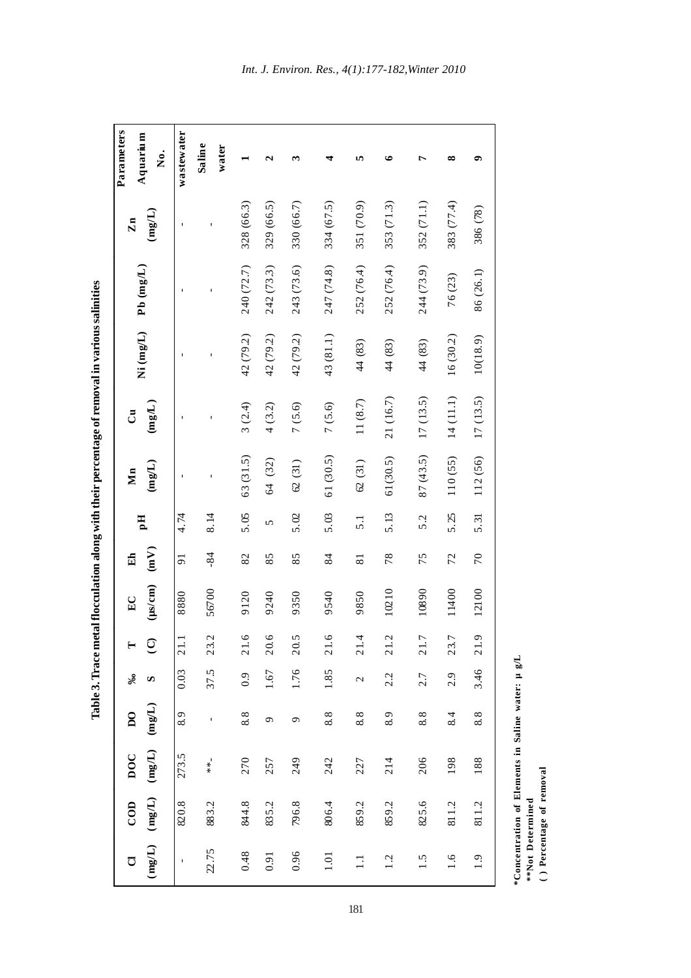| <b>Parameters</b><br>Aquarium<br>Ż.                                     | wastewater      | Saline<br>water      |                              | ન              | ొ          |                | n                | ≏                    | r          | ∞          |                 |
|-------------------------------------------------------------------------|-----------------|----------------------|------------------------------|----------------|------------|----------------|------------------|----------------------|------------|------------|-----------------|
| (mg/L)<br>$\mathbf{Zn}$                                                 |                 |                      | 328 (66.3)                   | 329 (66.5)     | 330 (66.7) | 334 (67.5)     | 351 (70.9)       | 353 (71.3)           | 352 (71.1) | 383 (77.4) | 386 (78)        |
| $Pb$ (mg/L)                                                             |                 |                      | 240 (72.7)                   | 242 (73.3)     | 243 (73.6) | 247 (74.8)     | 252 (76.4)       | 252 (76.4)           | 244 (73.9) | 76 (23)    | 86(26.1)        |
| Ni (mg/L)                                                               |                 |                      | 42 (79.2)                    | 42 (79.2)      | 42 (79.2)  | 43(81.1)       | 44 (83)          | 44 (83)              | 44(83)     | 16(30.2)   | 10(18.9)        |
| $(\mathrm{mgL})$<br>්                                                   |                 |                      | 3(2.4)                       | 4(3.2)         | 7(5.6)     | 7(5.6)         | 11(8.7)          | 21 (16.7)            | 17(13.5)   | 14(11.1)   | 17(13.5)        |
| (mgL)<br>Mn                                                             |                 |                      | 63(31.5)                     | 64 (32)        | 62(31)     | 61(30.5)       | 62(31)           | 61(30.5)             | 87 (43.5)  | 110(55)    | 112 (56)        |
| Hq                                                                      | 4.74            | 8.14                 | 5.05                         | 5              | 5.02       | 5.03           | $\overline{5.1}$ | 5.13                 | 5.2        | 5.25       | 5.31            |
| (mV)<br>Eh                                                              | $\overline{91}$ | $-84$                | 82                           | 85             | 85         | 84             | $\overline{81}$  | 78                   | 75         | 72         | 70              |
| $(\mu s/cm)$<br>$E_{\rm C}$                                             | 8880            | 56700                | 9120                         | 9240           | 9350       | 9540           | 9850             | 10210                | 10890      | 11400      | 12100           |
|                                                                         | 21.1            | $\mathcal{L}$<br>23. | $\circ$<br>$\overline{21}$ . | $\circ$<br>20. | 5<br>20.   | $\circ$<br>21. | 4<br>21.         | $\mathcal{L}$<br>21. | 21.7       | 23.7       | $\sigma$<br>21. |
| శి<br>S                                                                 | 0.03            | 37.5                 | 0.9                          | 1.67           | 1.76       | 1.85           | 2                | 2.2                  | 2.7        | 2.9        | 3.46            |
| $\mathsf{S}$                                                            | 8.9             |                      | 8.8                          | $\sigma$       | ٩          | 8.8            | 8.8              | 8.9                  | 8.8        | 8.4        | 8.8             |
| $(\text{mg/L})$ $(\text{mg/L})$ $(\text{mg/L})$ $(\text{mg/L})$<br>100C | 273.5           | $**$                 | 270                          | 257            | 249        | 242            | 227              | 214                  | 206        | 198        | 188             |
| $\overline{C}$ OD                                                       | 820.8           | 883.2                | 844.8                        | 835.2          | 796.8      | 806.4          | 859.2            | 859.2                | 825.6      | 811.2      | 811.2           |
| ರ                                                                       | $\mathbf{I}$    | 22.75                | 0.48                         | 0.91           | 0.96       | $1.01\,$       | $\Xi$            | 1.2                  | 1.5        | 1.6        | 1.9             |

Table 3. Trace metal flocculation along with their percentage of removal in various salinities **Table 3. Trace metal flocculation along with their percentage of removal in various salinities**

\*Concentration of Elements in Saline water: µ g/L **\*Concentration of Elements in Saline water: µ g/L**

\*\*Not Determined<br>() Percentage of removal  **\*\*Not Determined**

 **( ) Percentage of removal**